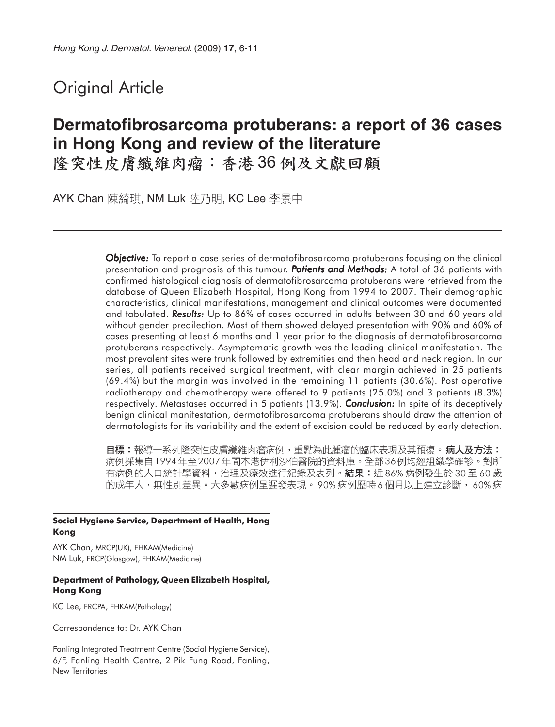## Original Article

# **Dermatofibrosarcoma protuberans: a report of 36 cases in Hong Kong and review of the literature**

隆突性皮膚纖維肉瘤:香港36例及文獻回顧

AYK Chan 陳綺琪, NM Luk 陸乃明, KC Lee 李景中

*Objective: Objective:* To report a case series of dermatofibrosarcoma protuberans focusing on the clinical presentation and prognosis of this tumour. **Patients and Methods:** A total of 36 patients with confirmed histological diagnosis of dermatofibrosarcoma protuberans were retrieved from the database of Queen Elizabeth Hospital, Hong Kong from 1994 to 2007. Their demographic characteristics, clinical manifestations, management and clinical outcomes were documented and tabulated. **Results:** Up to 86% of cases occurred in adults between 30 and 60 years old without gender predilection. Most of them showed delayed presentation with 90% and 60% of cases presenting at least 6 months and 1 year prior to the diagnosis of dermatofibrosarcoma protuberans respectively. Asymptomatic growth was the leading clinical manifestation. The most prevalent sites were trunk followed by extremities and then head and neck region. In our series, all patients received surgical treatment, with clear margin achieved in 25 patients (69.4%) but the margin was involved in the remaining 11 patients (30.6%). Post operative radiotherapy and chemotherapy were offered to 9 patients (25.0%) and 3 patients (8.3%) respectively. Metastases occurred in 5 patients (13.9%). *Conclusion: Conclusion:* In spite of its deceptively benign clinical manifestation, dermatofibrosarcoma protuberans should draw the attention of dermatologists for its variability and the extent of excision could be reduced by early detection.

**目標:**報導一系列隆突性皮膚纖維肉瘤病例,重點為此腫瘤的臨床表現及其預復。**病人及方法:** 病例採集自 1994年至2007年間本港伊利沙伯醫院的資料庫。全部36例均經組織學確診。對所 有病例的人口統計學資料,治理及療效進行紀錄及表列。結果:近 86% 病例發生於 30 至 60 歲 的成年人,無性別差異。大多數病例呈遲發表現。 90% 病例歷時 6 個月以上建立診斷, 60% 病

#### **Social Hygiene Service, Department of Health, Hong Kong**

AYK Chan, MRCP(UK), FHKAM(Medicine) NM Luk, FRCP(Glasgow), FHKAM(Medicine)

#### **Department of Pathology, Queen Elizabeth Hospital, Hong Kong**

KC Lee, FRCPA, FHKAM(Pathology)

Correspondence to: Dr. AYK Chan

Fanling Integrated Treatment Centre (Social Hygiene Service), 6/F, Fanling Health Centre, 2 Pik Fung Road, Fanling, New Territories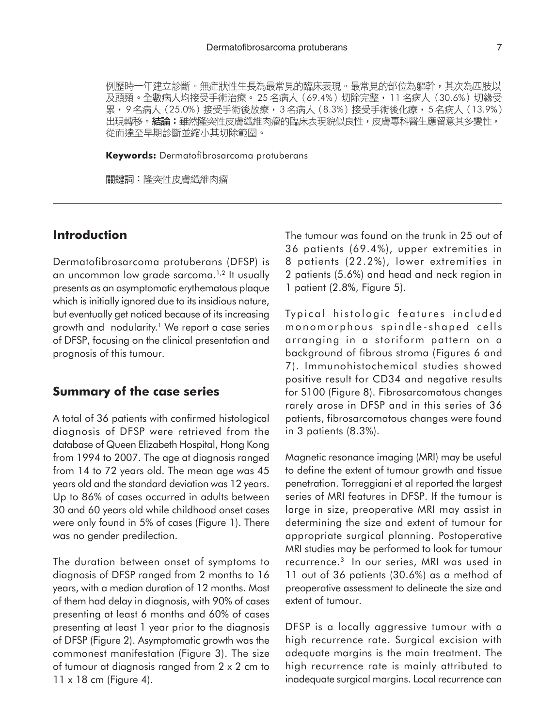例歷時一年建立診斷。無症狀性生長為最常見的臨床表現。最常見的部位為軀幹,其次為四肢以 及頭頸。全數病人均接受手術治療。25名病人 (69.4%) 切除完整,11名病人 (30.6%) 切緣受 累,9名病人 (25.0%) 接受手術後放療,3名病人 (8.3%) 接受手術後化療,5名病人 (13.9%) 出現轉移。結論:雖然隆突性皮膚纖維肉瘤的臨床表現貌似良性,皮膚專科醫生應留意其多變性, 從而達至早期診斷並縮小其切除範圍。

**Keywords:** Dermatofibrosarcoma protuberans

關鍵詞:隆突性皮膚纖維肉瘤

### **Introduction**

Dermatofibrosarcoma protuberans (DFSP) is an uncommon low grade sarcoma.<sup>1,2</sup> It usually presents as an asymptomatic erythematous plaque which is initially ignored due to its insidious nature, but eventually get noticed because of its increasing growth and nodularity.<sup>1</sup> We report a case series of DFSP, focusing on the clinical presentation and prognosis of this tumour.

#### **Summary of the case series**

A total of 36 patients with confirmed histological diagnosis of DFSP were retrieved from the database of Queen Elizabeth Hospital, Hong Kong from 1994 to 2007. The age at diagnosis ranged from 14 to 72 years old. The mean age was 45 years old and the standard deviation was 12 years. Up to 86% of cases occurred in adults between 30 and 60 years old while childhood onset cases were only found in 5% of cases (Figure 1). There was no gender predilection.

The duration between onset of symptoms to diagnosis of DFSP ranged from 2 months to 16 years, with a median duration of 12 months. Most of them had delay in diagnosis, with 90% of cases presenting at least 6 months and 60% of cases presenting at least 1 year prior to the diagnosis of DFSP (Figure 2). Asymptomatic growth was the commonest manifestation (Figure 3). The size of tumour at diagnosis ranged from 2 x 2 cm to 11 x 18 cm (Figure 4).

The tumour was found on the trunk in 25 out of 36 patients (69.4%), upper extremities in 8 patients (22.2%), lower extremities in 2 patients (5.6%) and head and neck region in 1 patient (2.8%, Figure 5).

Typical histologic features included monomorphous spindle-shaped cells arranging in a storiform pattern on a background of fibrous stroma (Figures 6 and 7). Immunohistochemical studies showed positive result for CD34 and negative results for S100 (Figure 8). Fibrosarcomatous changes rarely arose in DFSP and in this series of 36 patients, fibrosarcomatous changes were found in 3 patients (8.3%).

Magnetic resonance imaging (MRI) may be useful to define the extent of tumour growth and tissue penetration. Torreggiani et al reported the largest series of MRI features in DFSP. If the tumour is large in size, preoperative MRI may assist in determining the size and extent of tumour for appropriate surgical planning. Postoperative MRI studies may be performed to look for tumour recurrence.3 In our series, MRI was used in 11 out of 36 patients (30.6%) as a method of preoperative assessment to delineate the size and extent of tumour.

DFSP is a locally aggressive tumour with a high recurrence rate. Surgical excision with adequate margins is the main treatment. The high recurrence rate is mainly attributed to inadequate surgical margins. Local recurrence can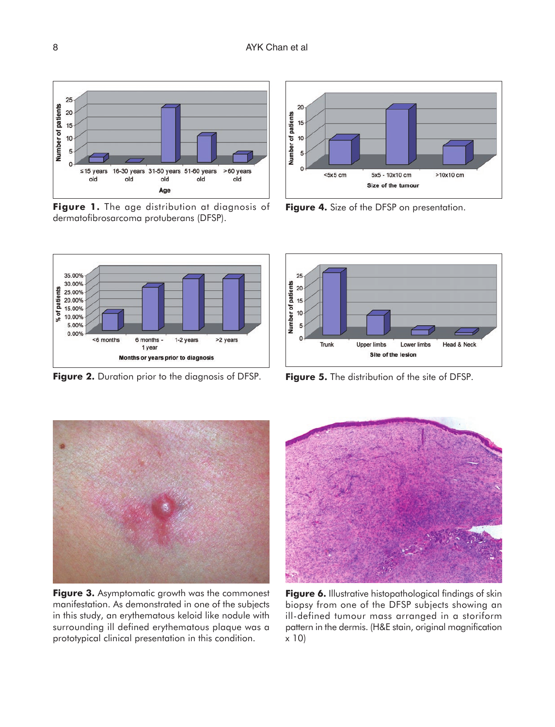

**Figure 1.** The age distribution at diagnosis of dermatofibrosarcoma protuberans (DFSP).



**Figure 4.** Size of the DFSP on presentation.



**Figure 5.** The distribution of the site of DFSP.

35.00% 30.00% % of patients 25.00% 20.00% 15.00% 10.00% 5.00% 0.00% <6 months 6 months -1-2 years >2 years 1 year Months or years prior to diagnosis

**Figure 2.** Duration prior to the diagnosis of DFSP.

**Figure 2.** Duration prior to the diagnosis of DFSP

**Figure 3.** Asymptomatic growth was the commonest manifestation. As demonstrated in one of the subjects in this study, an erythematous keloid like nodule with surrounding ill defined erythematous plaque was a prototypical clinical presentation in this condition.



**Figure 6.** Illustrative histopathological findings of skin biopsy from one of the DFSP subjects showing an ill-defined tumour mass arranged in a storiform pattern in the dermis. (H&E stain, original magnification x 10)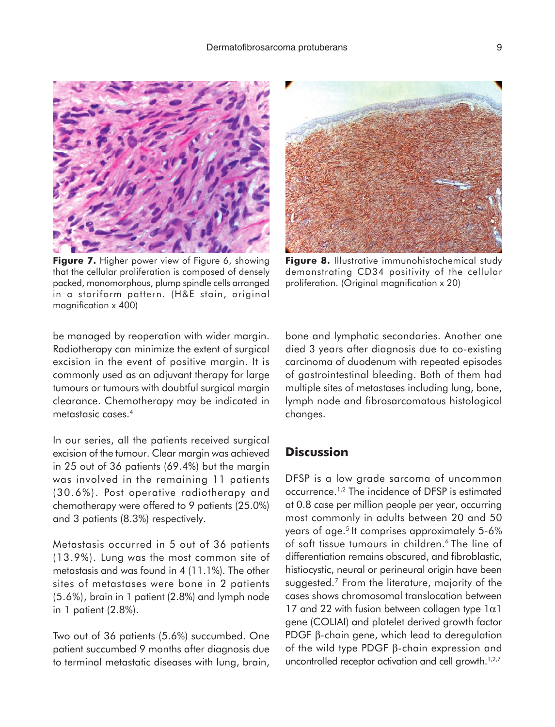

**Figure 7.** Higher power view of Figure 6, showing that the cellular proliferation is composed of densely packed, monomorphous, plump spindle cells arranged in a storiform pattern. (H&E stain, original magnification x 400)



**Figure 8.** Illustrative immunohistochemical study demonstrating CD34 positivity of the cellular proliferation. (Original magnification x 20)

be managed by reoperation with wider margin. Radiotherapy can minimize the extent of surgical excision in the event of positive margin. It is commonly used as an adjuvant therapy for large tumours or tumours with doubtful surgical margin clearance. Chemotherapy may be indicated in metastasic cases.4

In our series, all the patients received surgical excision of the tumour. Clear margin was achieved in 25 out of 36 patients (69.4%) but the margin was involved in the remaining 11 patients (30.6%). Post operative radiotherapy and chemotherapy were offered to 9 patients (25.0%) and 3 patients (8.3%) respectively.

Metastasis occurred in 5 out of 36 patients (13.9%). Lung was the most common site of metastasis and was found in 4 (11.1%). The other sites of metastases were bone in 2 patients (5.6%), brain in 1 patient (2.8%) and lymph node in 1 patient (2.8%).

Two out of 36 patients (5.6%) succumbed. One patient succumbed 9 months after diagnosis due to terminal metastatic diseases with lung, brain, bone and lymphatic secondaries. Another one died 3 years after diagnosis due to co-existing carcinoma of duodenum with repeated episodes of gastrointestinal bleeding. Both of them had multiple sites of metastases including lung, bone, lymph node and fibrosarcomatous histological changes.

## **Discussion**

DFSP is a low grade sarcoma of uncommon occurrence.1,2 The incidence of DFSP is estimated at 0.8 case per million people per year, occurring most commonly in adults between 20 and 50 years of age.<sup>5</sup> It comprises approximately 5-6% of soft tissue tumours in children.<sup>6</sup> The line of differentiation remains obscured, and fibroblastic, histiocystic, neural or perineural origin have been suggested.7 From the literature, majority of the cases shows chromosomal translocation between 17 and 22 with fusion between collagen type  $1\alpha1$ gene (COLIAI) and platelet derived growth factor PDGF β-chain gene, which lead to deregulation of the wild type PDGF β-chain expression and uncontrolled receptor activation and cell growth.<sup>1,2,7</sup>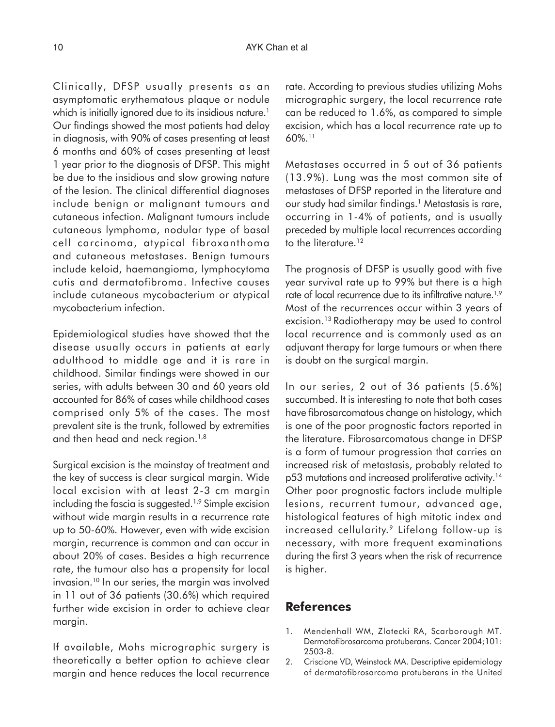Clinically, DFSP usually presents as an asymptomatic erythematous plaque or nodule which is initially ignored due to its insidious nature.<sup>1</sup> Our findings showed the most patients had delay in diagnosis, with 90% of cases presenting at least 6 months and 60% of cases presenting at least 1 year prior to the diagnosis of DFSP. This might be due to the insidious and slow growing nature of the lesion. The clinical differential diagnoses include benign or malignant tumours and cutaneous infection. Malignant tumours include cutaneous lymphoma, nodular type of basal cell carcinoma, atypical fibroxanthoma and cutaneous metastases. Benign tumours include keloid, haemangioma, lymphocytoma cutis and dermatofibroma. Infective causes include cutaneous mycobacterium or atypical mycobacterium infection.

Epidemiological studies have showed that the disease usually occurs in patients at early adulthood to middle age and it is rare in childhood. Similar findings were showed in our series, with adults between 30 and 60 years old accounted for 86% of cases while childhood cases comprised only 5% of the cases. The most prevalent site is the trunk, followed by extremities and then head and neck region.<sup>1,8</sup>

Surgical excision is the mainstay of treatment and the key of success is clear surgical margin. Wide local excision with at least 2-3 cm margin including the fascia is suggested.1,9 Simple excision without wide margin results in a recurrence rate up to 50-60%. However, even with wide excision margin, recurrence is common and can occur in about 20% of cases. Besides a high recurrence rate, the tumour also has a propensity for local invasion.<sup>10</sup> In our series, the margin was involved in 11 out of 36 patients (30.6%) which required further wide excision in order to achieve clear margin.

If available, Mohs micrographic surgery is theoretically a better option to achieve clear margin and hence reduces the local recurrence

rate. According to previous studies utilizing Mohs micrographic surgery, the local recurrence rate can be reduced to 1.6%, as compared to simple excision, which has a local recurrence rate up to 60%.11

Metastases occurred in 5 out of 36 patients (13.9%). Lung was the most common site of metastases of DFSP reported in the literature and our study had similar findings.1 Metastasis is rare, occurring in 1-4% of patients, and is usually preceded by multiple local recurrences according to the literature.<sup>12</sup>

The prognosis of DFSP is usually good with five year survival rate up to 99% but there is a high rate of local recurrence due to its infiltrative nature.<sup>1,9</sup> Most of the recurrences occur within 3 years of excision.13 Radiotherapy may be used to control local recurrence and is commonly used as an adjuvant therapy for large tumours or when there is doubt on the surgical margin.

In our series, 2 out of 36 patients (5.6%) succumbed. It is interesting to note that both cases have fibrosarcomatous change on histology, which is one of the poor prognostic factors reported in the literature. Fibrosarcomatous change in DFSP is a form of tumour progression that carries an increased risk of metastasis, probably related to p53 mutations and increased proliferative activity.14 Other poor prognostic factors include multiple lesions, recurrent tumour, advanced age, histological features of high mitotic index and increased cellularity.<sup>9</sup> Lifelong follow-up is necessary, with more frequent examinations during the first 3 years when the risk of recurrence is higher.

#### **References**

- 1. Mendenhall WM, Zlotecki RA, Scarborough MT. Dermatofibrosarcoma protuberans. Cancer 2004;101: 2503-8.
- 2. Criscione VD, Weinstock MA. Descriptive epidemiology of dermatofibrosarcoma protuberans in the United